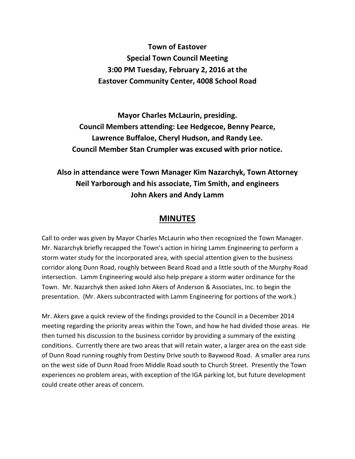**Town of Eastover Special Town Council Meeting 3:00 PM Tuesday, February 2, 2016 at the Eastover Community Center, 4008 School Road** 

**Mayor Charles McLaurin, presiding. Council Members attending: Lee Hedgecoe, Benny Pearce, Lawrence Buffaloe, Cheryl Hudson, and Randy Lee. Council Member Stan Crumpler was excused with prior notice.** 

**Also in attendance were Town Manager Kim Nazarchyk, Town Attorney Neil Yarborough and his associate, Tim Smith, and engineers John Akers and Andy Lamm** 

## **MINUTES**

Call to order was given by Mayor Charles McLaurin who then recognized the Town Manager. Mr. Nazarchyk briefly recapped the Town's action in hiring Lamm Engineering to perform a storm water study for the incorporated area, with special attention given to the business corridor along Dunn Road, roughly between Beard Road and a little south of the Murphy Road intersection. Lamm Engineering would also help prepare a storm water ordinance for the Town. Mr. Nazarchyk then asked John Akers of Anderson & Associates, Inc. to begin the presentation. (Mr. Akers subcontracted with Lamm Engineering for portions of the work.)

Mr. Akers gave a quick review of the findings provided to the Council in a December 2014 meeting regarding the priority areas within the Town, and how he had divided those areas. He then turned his discussion to the business corridor by providing a summary of the existing conditions. Currently there are two areas that will retain water, a larger area on the east side of Dunn Road running roughly from Destiny Drive south to Baywood Road. A smaller area runs on the west side of Dunn Road from Middle Road south to Church Street. Presently the Town experiences no problem areas, with exception of the IGA parking lot, but future development could create other areas of concern.